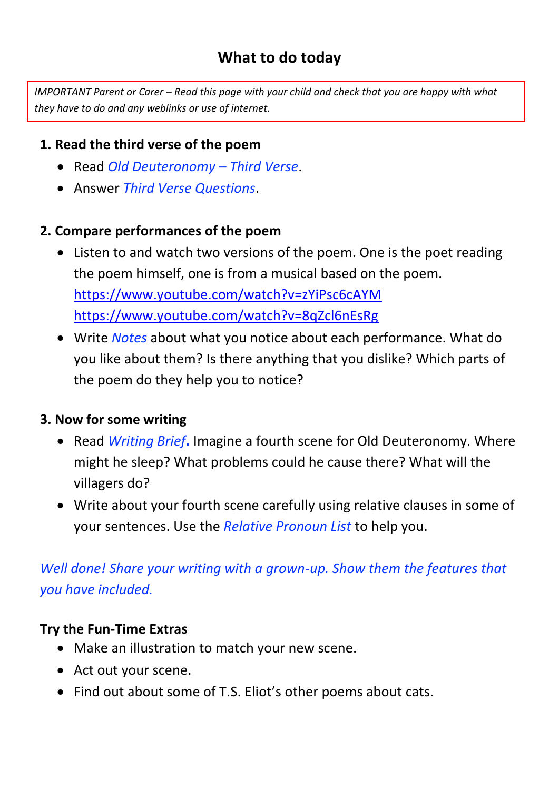#### **What to do today**

*IMPORTANT Parent or Carer – Read this page with your child and check that you are happy with what they have to do and any weblinks or use of internet.* 

#### **1. Read the third verse of the poem**

- Read *Old Deuteronomy – Third Verse*.
- Answer *Third Verse Questions*.

#### **2. Compare performances of the poem**

- Listen to and watch two versions of the poem. One is the poet reading the poem himself, one is from a musical based on the poem. <https://www.youtube.com/watch?v=zYiPsc6cAYM> <https://www.youtube.com/watch?v=8qZcl6nEsRg>
- Write *Notes* about what you notice about each performance. What do you like about them? Is there anything that you dislike? Which parts of the poem do they help you to notice?

#### **3. Now for some writing**

- Read *Writing Brief*. Imagine a fourth scene for Old Deuteronomy. Where might he sleep? What problems could he cause there? What will the villagers do?
- Write about your fourth scene carefully using relative clauses in some of your sentences. Use the *Relative Pronoun List* to help you.

#### *Well done! Share your writing with a grown-up. Show them the features that you have included.*

#### **Try the Fun-Time Extras**

- Make an illustration to match your new scene.
- Act out your scene.
- Find out about some of T.S. Eliot's other poems about cats.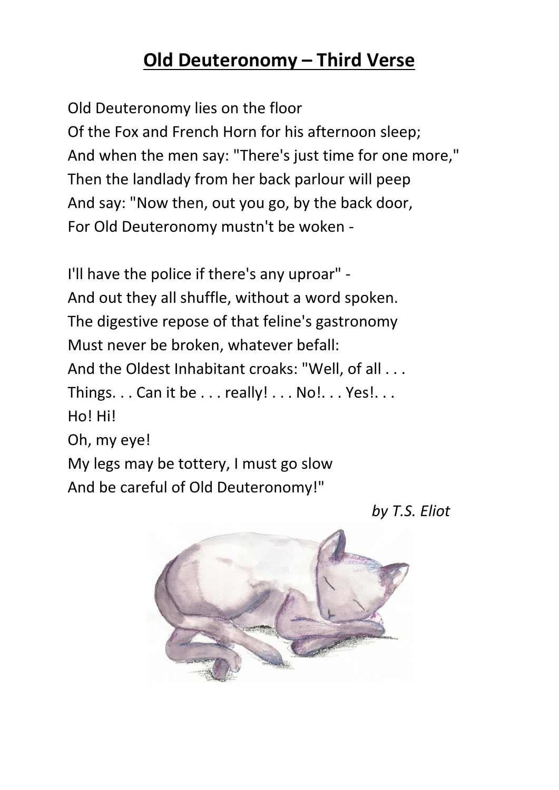### **Old Deuteronomy – Third Verse**

Old Deuteronomy lies on the floor Of the Fox and French Horn for his afternoon sleep; And when the men say: "There's just time for one more," Then the landlady from her back parlour will peep And say: "Now then, out you go, by the back door, For Old Deuteronomy mustn't be woken -

I'll have the police if there's any uproar" - And out they all shuffle, without a word spoken. The digestive repose of that feline's gastronomy Must never be broken, whatever befall: And the Oldest Inhabitant croaks: "Well, of all . . . Things.  $\ldots$  Can it be  $\ldots$  really!  $\ldots$  No! $\ldots$  Yes! $\ldots$ Ho! Hi! Oh, my eye! My legs may be tottery, I must go slow And be careful of Old Deuteronomy!"

*by T.S. Eliot*

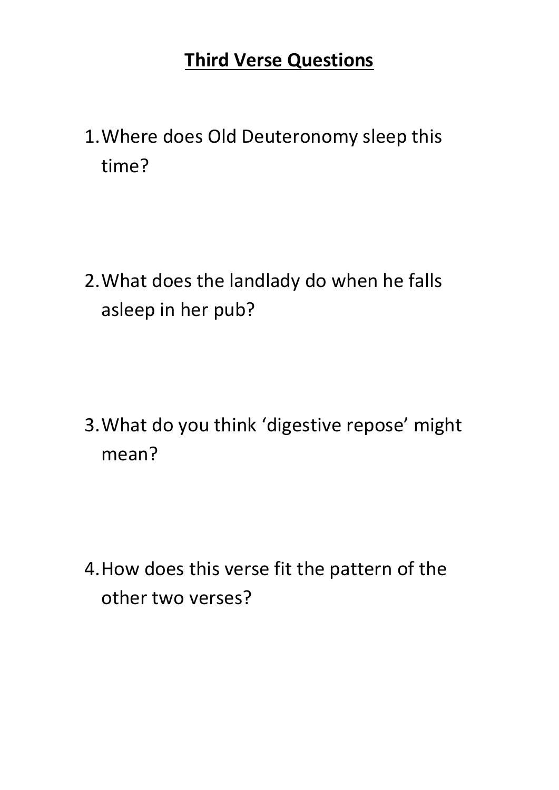### **Third Verse Questions**

1.Where does Old Deuteronomy sleep this time?

2.What does the landlady do when he falls asleep in her pub?

3.What do you think 'digestive repose' might mean?

4.How does this verse fit the pattern of the other two verses?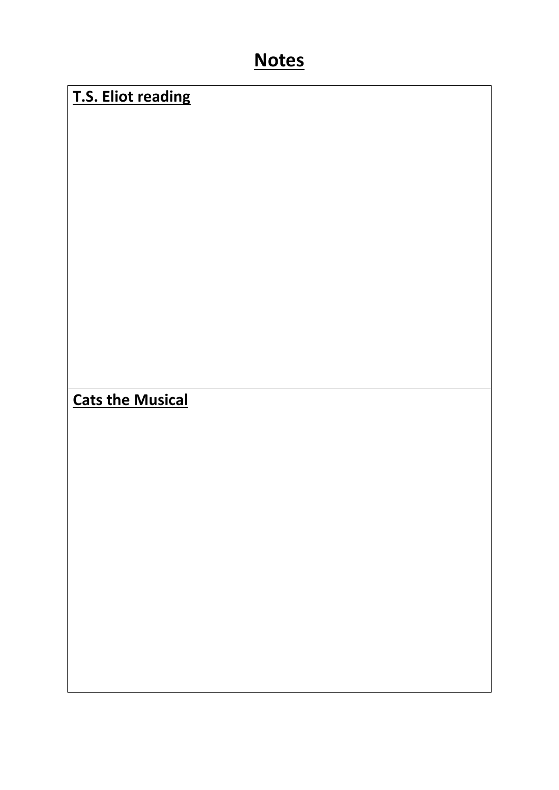### **Notes**

#### **T.S. Eliot reading**

**Cats the Musical**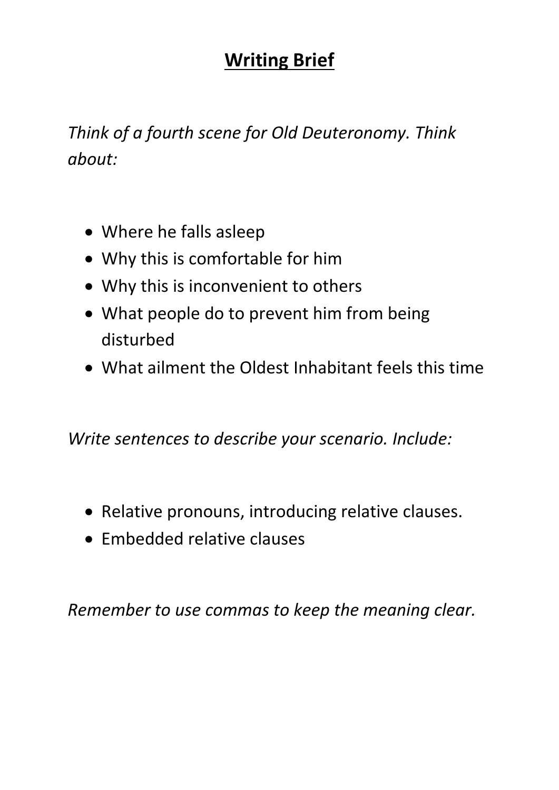### **Writing Brief**

*Think of a fourth scene for Old Deuteronomy. Think about:*

- Where he falls asleep
- Why this is comfortable for him
- Why this is inconvenient to others
- What people do to prevent him from being disturbed
- What ailment the Oldest Inhabitant feels this time

*Write sentences to describe your scenario. Include:*

- Relative pronouns, introducing relative clauses.
- Embedded relative clauses

*Remember to use commas to keep the meaning clear.*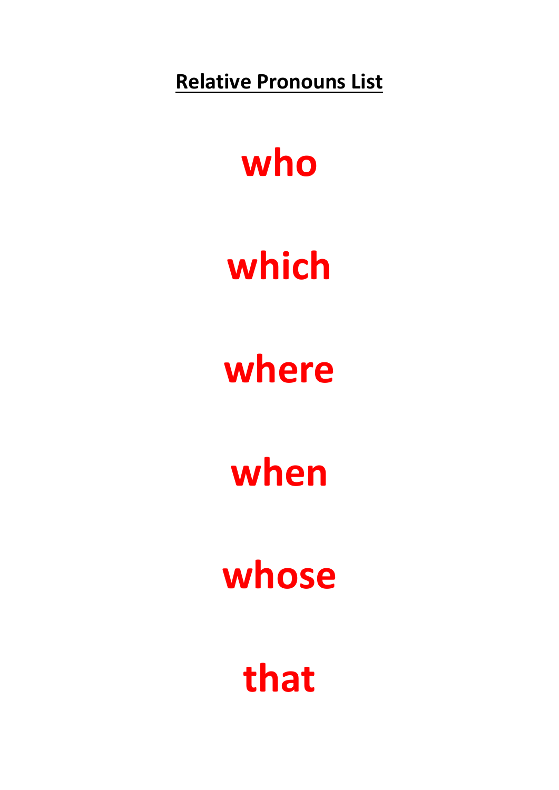**Relative Pronouns List**

## **who**

## **which**

## **where**

# **when**

# **whose**

## **that**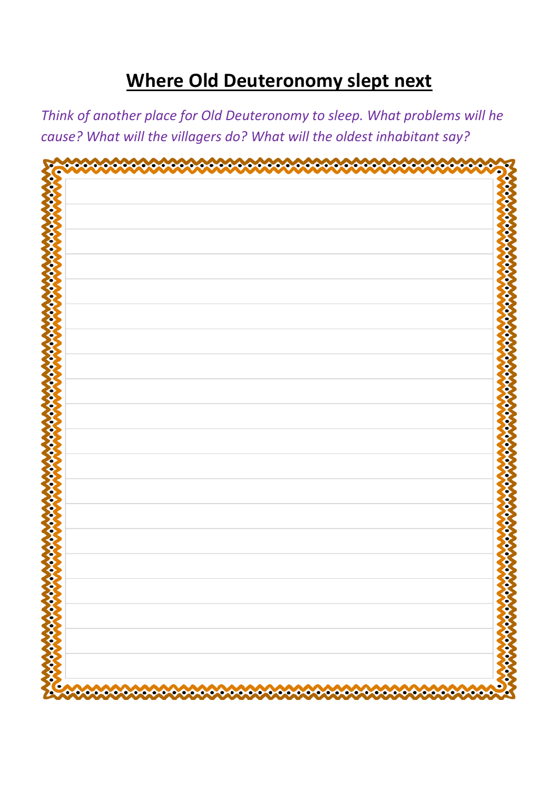### **Where Old Deuteronomy slept next**

*Think of another place for Old Deuteronomy to sleep. What problems will he cause? What will the villagers do? What will the oldest inhabitant say?*

| Ο | о,             |
|---|----------------|
|   |                |
|   |                |
|   |                |
|   |                |
|   |                |
|   |                |
|   |                |
|   |                |
|   |                |
|   |                |
|   |                |
|   |                |
|   |                |
|   |                |
|   |                |
|   |                |
|   |                |
|   |                |
|   |                |
|   |                |
|   |                |
|   |                |
|   |                |
|   |                |
|   |                |
|   |                |
|   |                |
|   |                |
|   |                |
|   |                |
|   |                |
|   |                |
|   |                |
|   |                |
|   |                |
|   |                |
|   |                |
|   |                |
|   |                |
|   |                |
|   |                |
|   | <b>RE</b><br>9 |